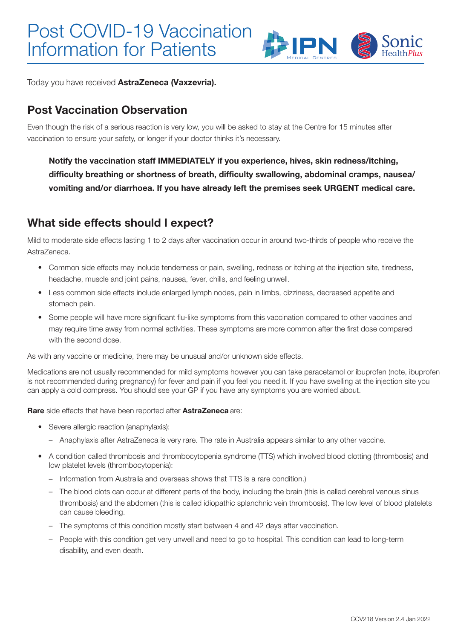

Today you have received AstraZeneca (Vaxzevria).

### Post Vaccination Observation

Even though the risk of a serious reaction is very low, you will be asked to stay at the Centre for 15 minutes after vaccination to ensure your safety, or longer if your doctor thinks it's necessary.

Notify the vaccination staff IMMEDIATELY if you experience, hives, skin redness/itching, difficulty breathing or shortness of breath, difficulty swallowing, abdominal cramps, nausea/ vomiting and/or diarrhoea. If you have already left the premises seek URGENT medical care.

### What side effects should I expect?

Mild to moderate side effects lasting 1 to 2 days after vaccination occur in around two-thirds of people who receive the AstraZeneca.

- Common side effects may include tenderness or pain, swelling, redness or itching at the injection site, tiredness, headache, muscle and joint pains, nausea, fever, chills, and feeling unwell.
- Less common side effects include enlarged lymph nodes, pain in limbs, dizziness, decreased appetite and stomach pain.
- Some people will have more significant flu-like symptoms from this vaccination compared to other vaccines and may require time away from normal activities. These symptoms are more common after the first dose compared with the second dose.

As with any vaccine or medicine, there may be unusual and/or unknown side effects.

Medications are not usually recommended for mild symptoms however you can take paracetamol or ibuprofen (note, ibuprofen is not recommended during pregnancy) for fever and pain if you feel you need it. If you have swelling at the injection site you can apply a cold compress. You should see your GP if you have any symptoms you are worried about.

Rare side effects that have been reported after AstraZeneca are:

- Severe allergic reaction (anaphylaxis):
	- Anaphylaxis after AstraZeneca is very rare. The rate in Australia appears similar to any other vaccine.
- A condition called thrombosis and thrombocytopenia syndrome (TTS) which involved blood clotting (thrombosis) and low platelet levels (thrombocytopenia):
	- Information from Australia and overseas shows that TTS is a rare condition.)
	- The blood clots can occur at different parts of the body, including the brain (this is called cerebral venous sinus thrombosis) and the abdomen (this is called idiopathic splanchnic vein thrombosis). The low level of blood platelets can cause bleeding.
	- The symptoms of this condition mostly start between 4 and 42 days after vaccination.
	- People with this condition get very unwell and need to go to hospital. This condition can lead to long-term disability, and even death.